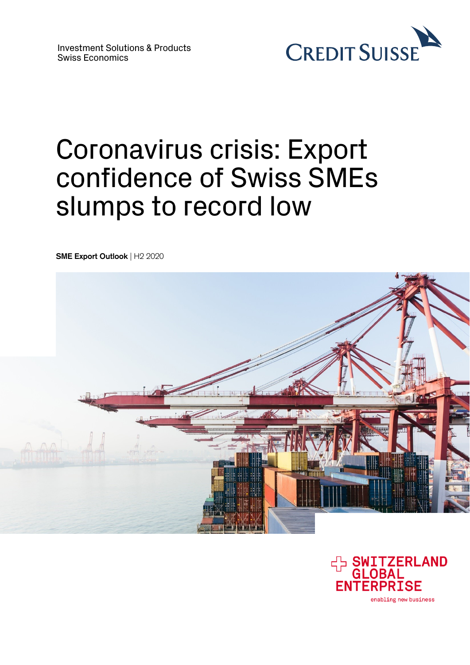

# Coronavirus crisis: Export confidence of Swiss SMEs slumps to record low

**SME Export Outlook** | H2 2020



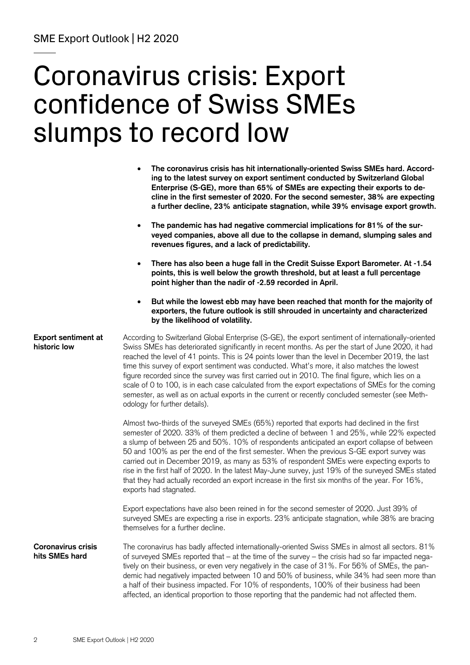# Coronavirus crisis: Export confidence of Swiss SMEs slumps to record low

|                                             | The coronavirus crisis has hit internationally-oriented Swiss SMEs hard. Accord-<br>ing to the latest survey on export sentiment conducted by Switzerland Global<br>Enterprise (S-GE), more than 65% of SMEs are expecting their exports to de-<br>cline in the first semester of 2020. For the second semester, 38% are expecting<br>a further decline, 23% anticipate stagnation, while 39% envisage export growth.                                                                                                                                                                                                                                                                                                                                      |
|---------------------------------------------|------------------------------------------------------------------------------------------------------------------------------------------------------------------------------------------------------------------------------------------------------------------------------------------------------------------------------------------------------------------------------------------------------------------------------------------------------------------------------------------------------------------------------------------------------------------------------------------------------------------------------------------------------------------------------------------------------------------------------------------------------------|
|                                             | The pandemic has had negative commercial implications for 81% of the sur-<br>$\bullet$<br>veyed companies, above all due to the collapse in demand, slumping sales and<br>revenues figures, and a lack of predictability.                                                                                                                                                                                                                                                                                                                                                                                                                                                                                                                                  |
|                                             | There has also been a huge fall in the Credit Suisse Export Barometer. At -1.54<br>$\bullet$<br>points, this is well below the growth threshold, but at least a full percentage<br>point higher than the nadir of -2.59 recorded in April.                                                                                                                                                                                                                                                                                                                                                                                                                                                                                                                 |
|                                             | But while the lowest ebb may have been reached that month for the majority of<br>$\bullet$<br>exporters, the future outlook is still shrouded in uncertainty and characterized<br>by the likelihood of volatility.                                                                                                                                                                                                                                                                                                                                                                                                                                                                                                                                         |
| <b>Export sentiment at</b><br>historic low  | According to Switzerland Global Enterprise (S-GE), the export sentiment of internationally-oriented<br>Swiss SMEs has deteriorated significantly in recent months. As per the start of June 2020, it had<br>reached the level of 41 points. This is 24 points lower than the level in December 2019, the last<br>time this survey of export sentiment was conducted. What's more, it also matches the lowest<br>figure recorded since the survey was first carried out in 2010. The final figure, which lies on a<br>scale of 0 to 100, is in each case calculated from the export expectations of SMEs for the coming<br>semester, as well as on actual exports in the current or recently concluded semester (see Meth-<br>odology for further details). |
|                                             | Almost two-thirds of the surveyed SMEs (65%) reported that exports had declined in the first<br>semester of 2020. 33% of them predicted a decline of between 1 and 25%, while 22% expected<br>a slump of between 25 and 50%. 10% of respondents anticipated an export collapse of between<br>50 and 100% as per the end of the first semester. When the previous S-GE export survey was<br>carried out in December 2019, as many as 53% of respondent SMEs were expecting exports to<br>rise in the first half of 2020. In the latest May-June survey, just 19% of the surveyed SMEs stated<br>that they had actually recorded an export increase in the first six months of the year. For 16%,<br>exports had stagnated.                                  |
|                                             | Export expectations have also been reined in for the second semester of 2020. Just 39% of<br>surveyed SMEs are expecting a rise in exports. 23% anticipate stagnation, while 38% are bracing<br>themselves for a further decline.                                                                                                                                                                                                                                                                                                                                                                                                                                                                                                                          |
| <b>Coronavirus crisis</b><br>hits SMEs hard | The coronavirus has badly affected internationally-oriented Swiss SMEs in almost all sectors. 81%<br>of surveyed SMEs reported that - at the time of the survey - the crisis had so far impacted nega-<br>tively on their business, or even very negatively in the case of 31%. For 56% of SMEs, the pan-<br>demic had negatively impacted between 10 and 50% of business, while 34% had seen more than<br>a half of their business impacted. For 10% of respondents, 100% of their business had been<br>affected, an identical proportion to those reporting that the pandemic had not affected them.                                                                                                                                                     |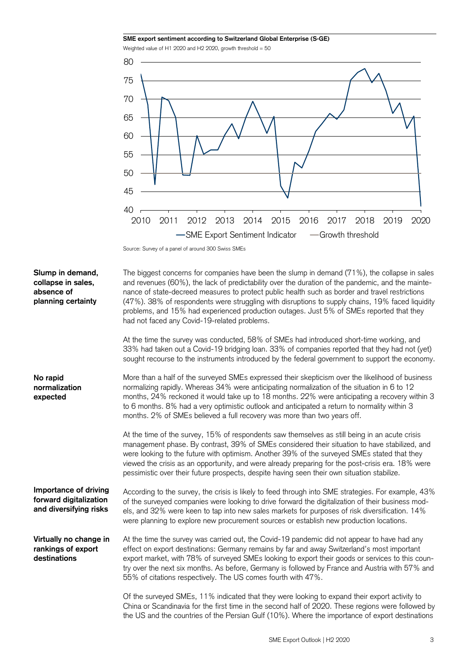

Source: Survey of a panel of around 300 Swiss SMEs

| Slump in demand,<br>collapse in sales,<br>absence of<br>planning certainty | The biggest concerns for companies have been the slump in demand (71%), the collapse in sales<br>and revenues (60%), the lack of predictability over the duration of the pandemic, and the mainte-<br>nance of state-decreed measures to protect public health such as border and travel restrictions<br>(47%). 38% of respondents were struggling with disruptions to supply chains, 19% faced liquidity<br>problems, and 15% had experienced production outages. Just 5% of SMEs reported that they<br>had not faced any Covid-19-related problems. |
|----------------------------------------------------------------------------|-------------------------------------------------------------------------------------------------------------------------------------------------------------------------------------------------------------------------------------------------------------------------------------------------------------------------------------------------------------------------------------------------------------------------------------------------------------------------------------------------------------------------------------------------------|
|                                                                            | At the time the survey was conducted, 58% of SMEs had introduced short-time working, and<br>33% had taken out a Covid-19 bridging loan. 33% of companies reported that they had not (yet)<br>sought recourse to the instruments introduced by the federal government to support the economy.                                                                                                                                                                                                                                                          |
| No rapid<br>normalization<br>expected                                      | More than a half of the surveyed SMEs expressed their skepticism over the likelihood of business<br>normalizing rapidly. Whereas 34% were anticipating normalization of the situation in 6 to 12<br>months, 24% reckoned it would take up to 18 months. 22% were anticipating a recovery within 3<br>to 6 months. 8% had a very optimistic outlook and anticipated a return to normality within 3<br>months. 2% of SMEs believed a full recovery was more than two years off.                                                                         |
|                                                                            | At the time of the survey, 15% of respondents saw themselves as still being in an acute crisis<br>management phase. By contrast, 39% of SMEs considered their situation to have stabilized, and<br>were looking to the future with optimism. Another 39% of the surveyed SMEs stated that they<br>viewed the crisis as an opportunity, and were already preparing for the post-crisis era. 18% were<br>pessimistic over their future prospects, despite having seen their own situation stabilize.                                                    |
| Importance of driving<br>forward digitalization<br>and diversifying risks  | According to the survey, the crisis is likely to feed through into SME strategies. For example, 43%<br>of the surveyed companies were looking to drive forward the digitalization of their business mod-<br>els, and 32% were keen to tap into new sales markets for purposes of risk diversification. 14%<br>were planning to explore new procurement sources or establish new production locations.                                                                                                                                                 |
| Virtually no change in<br>rankings of export<br>destinations               | At the time the survey was carried out, the Covid-19 pandemic did not appear to have had any<br>effect on export destinations: Germany remains by far and away Switzerland's most important<br>export market, with 78% of surveyed SMEs looking to export their goods or services to this coun-<br>try over the next six months. As before, Germany is followed by France and Austria with 57% and<br>55% of citations respectively. The US comes fourth with 47%.                                                                                    |
|                                                                            | Of the surveyed SMEs, 11% indicated that they were looking to expand their export activity to<br>China or Scandinavia for the first time in the second half of 2020. These regions were followed by<br>the US and the countries of the Persian Gulf (10%). Where the importance of export destinations                                                                                                                                                                                                                                                |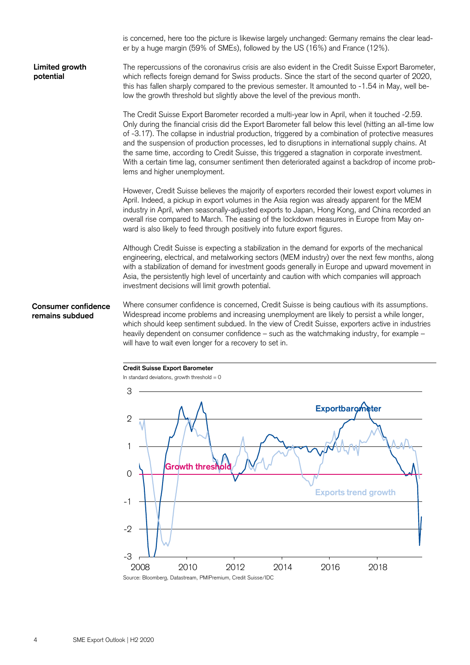is concerned, here too the picture is likewise largely unchanged: Germany remains the clear leader by a huge margin (59% of SMEs), followed by the US (16%) and France (12%). The repercussions of the coronavirus crisis are also evident in the Credit Suisse Export Barometer, which reflects foreign demand for Swiss products. Since the start of the second quarter of 2020, this has fallen sharply compared to the previous semester. It amounted to -1.54 in May, well below the growth threshold but slightly above the level of the previous month. The Credit Suisse Export Barometer recorded a multi-year low in April, when it touched -2.59. Only during the financial crisis did the Export Barometer fall below this level (hitting an all-time low of -3.17). The collapse in industrial production, triggered by a combination of protective measures and the suspension of production processes, led to disruptions in international supply chains. At the same time, according to Credit Suisse, this triggered a stagnation in corporate investment. With a certain time lag, consumer sentiment then deteriorated against a backdrop of income problems and higher unemployment. However, Credit Suisse believes the majority of exporters recorded their lowest export volumes in April. Indeed, a pickup in export volumes in the Asia region was already apparent for the MEM industry in April, when seasonally-adjusted exports to Japan, Hong Kong, and China recorded an overall rise compared to March. The easing of the lockdown measures in Europe from May onward is also likely to feed through positively into future export figures. Although Credit Suisse is expecting a stabilization in the demand for exports of the mechanical engineering, electrical, and metalworking sectors (MEM industry) over the next few months, along with a stabilization of demand for investment goods generally in Europe and upward movement in Asia, the persistently high level of uncertainty and caution with which companies will approach investment decisions will limit growth potential. Where consumer confidence is concerned, Credit Suisse is being cautious with its assumptions. Widespread income problems and increasing unemployment are likely to persist a while longer, which should keep sentiment subdued. In the view of Credit Suisse, exporters active in industries heavily dependent on consumer confidence – such as the watchmaking industry, for example – will have to wait even longer for a recovery to set in. **Credit Suisse Export Barometer**  In standard deviations, growth threshold  $= 0$ **Limited growth potential Consumer confidence remains subdued** 

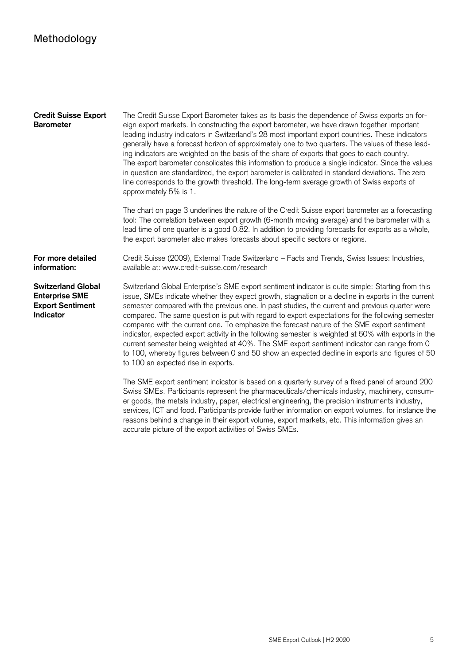## Methodology

| <b>Credit Suisse Export</b><br><b>Barometer</b>                                            | The Credit Suisse Export Barometer takes as its basis the dependence of Swiss exports on for-<br>eign export markets. In constructing the export barometer, we have drawn together important<br>leading industry indicators in Switzerland's 28 most important export countries. These indicators<br>generally have a forecast horizon of approximately one to two quarters. The values of these lead-<br>ing indicators are weighted on the basis of the share of exports that goes to each country.<br>The export barometer consolidates this information to produce a single indicator. Since the values<br>in question are standardized, the export barometer is calibrated in standard deviations. The zero<br>line corresponds to the growth threshold. The long-term average growth of Swiss exports of<br>approximately 5% is 1.                       |
|--------------------------------------------------------------------------------------------|----------------------------------------------------------------------------------------------------------------------------------------------------------------------------------------------------------------------------------------------------------------------------------------------------------------------------------------------------------------------------------------------------------------------------------------------------------------------------------------------------------------------------------------------------------------------------------------------------------------------------------------------------------------------------------------------------------------------------------------------------------------------------------------------------------------------------------------------------------------|
|                                                                                            | The chart on page 3 underlines the nature of the Credit Suisse export barometer as a forecasting<br>tool: The correlation between export growth (6-month moving average) and the barometer with a<br>lead time of one quarter is a good 0.82. In addition to providing forecasts for exports as a whole,<br>the export barometer also makes forecasts about specific sectors or regions.                                                                                                                                                                                                                                                                                                                                                                                                                                                                       |
| For more detailed<br>information:                                                          | Credit Suisse (2009), External Trade Switzerland - Facts and Trends, Swiss Issues: Industries,<br>available at: www.credit-suisse.com/research                                                                                                                                                                                                                                                                                                                                                                                                                                                                                                                                                                                                                                                                                                                 |
| <b>Switzerland Global</b><br><b>Enterprise SME</b><br><b>Export Sentiment</b><br>Indicator | Switzerland Global Enterprise's SME export sentiment indicator is quite simple: Starting from this<br>issue, SMEs indicate whether they expect growth, stagnation or a decline in exports in the current<br>semester compared with the previous one. In past studies, the current and previous quarter were<br>compared. The same question is put with regard to export expectations for the following semester<br>compared with the current one. To emphasize the forecast nature of the SME export sentiment<br>indicator, expected export activity in the following semester is weighted at 60% with exports in the<br>current semester being weighted at 40%. The SME export sentiment indicator can range from 0<br>to 100, whereby figures between 0 and 50 show an expected decline in exports and figures of 50<br>to 100 an expected rise in exports. |
|                                                                                            | The SME export sentiment indicator is based on a quarterly survey of a fixed panel of around 200<br>Swiss SMEs. Participants represent the pharmaceuticals/chemicals industry, machinery, consum-<br>er goods, the metals industry, paper, electrical engineering, the precision instruments industry,                                                                                                                                                                                                                                                                                                                                                                                                                                                                                                                                                         |

accurate picture of the export activities of Swiss SMEs.

services, ICT and food. Participants provide further information on export volumes, for instance the reasons behind a change in their export volume, export markets, etc. This information gives an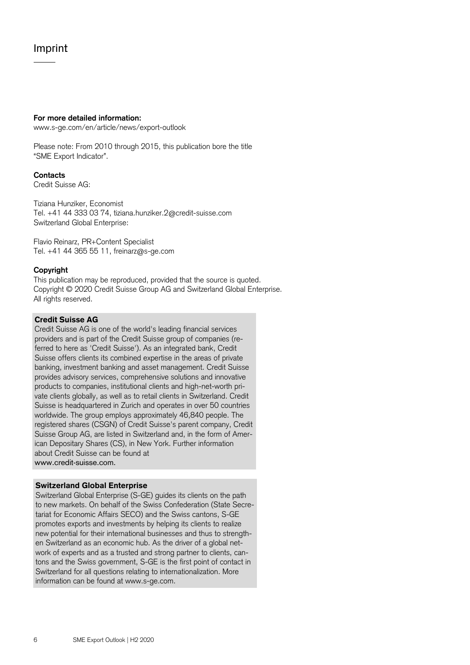## Imprint

#### **For more detailed information:**

www.s-ge.com/en/article/news/export-outlook

Please note: From 2010 through 2015, this publication bore the title "SME Export Indicator".

#### **Contacts**

Credit Suisse AG:

Tiziana Hunziker, Economist Tel. +41 44 333 03 74, tiziana.hunziker.2@credit-suisse.com Switzerland Global Enterprise:

Flavio Reinarz, PR+Content Specialist Tel. +41 44 365 55 11, freinarz@s-ge.com

### **Copyright**

This publication may be reproduced, provided that the source is quoted. Copyright © 2020 Credit Suisse Group AG and Switzerland Global Enterprise. All rights reserved.

### **Credit Suisse AG**

Credit Suisse AG is one of the world's leading financial services providers and is part of the Credit Suisse group of companies (referred to here as 'Credit Suisse'). As an integrated bank, Credit Suisse offers clients its combined expertise in the areas of private banking, investment banking and asset management. Credit Suisse provides advisory services, comprehensive solutions and innovative products to companies, institutional clients and high-net-worth private clients globally, as well as to retail clients in Switzerland. Credit Suisse is headquartered in Zurich and operates in over 50 countries worldwide. The group employs approximately 46,840 people. The registered shares (CSGN) of Credit Suisse's parent company, Credit Suisse Group AG, are listed in Switzerland and, in the form of American Depositary Shares (CS), in New York. Further information about Credit Suisse can be found at www.credit-suisse.com.

#### **Switzerland Global Enterprise**

Switzerland Global Enterprise (S-GE) guides its clients on the path to new markets. On behalf of the Swiss Confederation (State Secretariat for Economic Affairs SECO) and the Swiss cantons, S-GE promotes exports and investments by helping its clients to realize new potential for their international businesses and thus to strengthen Switzerland as an economic hub. As the driver of a global network of experts and as a trusted and strong partner to clients, cantons and the Swiss government, S-GE is the first point of contact in Switzerland for all questions relating to internationalization. More information can be found at www.s-ge.com.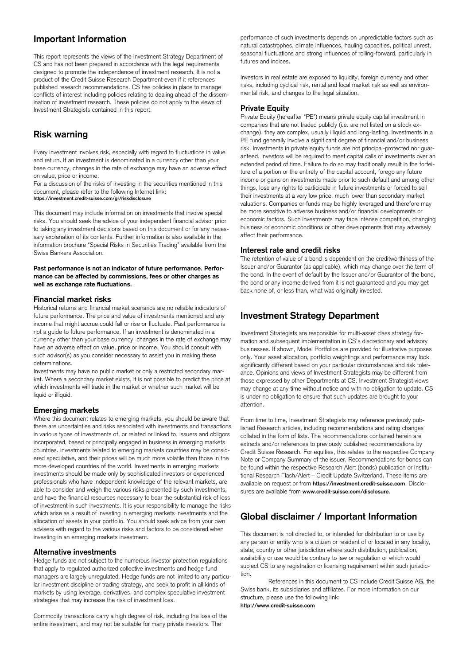## **Important Information**

This report represents the views of the Investment Strategy Department of CS and has not been prepared in accordance with the legal requirements designed to promote the independence of investment research. It is not a product of the Credit Suisse Research Department even if it references published research recommendations. CS has policies in place to manage conflicts of interest including policies relating to dealing ahead of the dissemination of investment research. These policies do not apply to the views of Investment Strategists contained in this report.

## **Risk warning**

Every investment involves risk, especially with regard to fluctuations in value and return. If an investment is denominated in a currency other than your base currency, changes in the rate of exchange may have an adverse effect on value, price or income.

For a discussion of the risks of investing in the securities mentioned in this document, please refer to the following Internet link: **https://investment.credit-suisse.com/gr/riskdisclosure**

This document may include information on investments that involve special risks. You should seek the advice of your independent financial advisor prior to taking any investment decisions based on this document or for any necessary explanation of its contents. Further information is also available in the information brochure "Special Risks in Securities Trading" available from the Swiss Bankers Association.

#### **Past performance is not an indicator of future performance. Performance can be affected by commissions, fees or other charges as well as exchange rate fluctuations.**

#### **Financial market risks**

Historical returns and financial market scenarios are no reliable indicators of future performance. The price and value of investments mentioned and any income that might accrue could fall or rise or fluctuate. Past performance is not a guide to future performance. If an investment is denominated in a currency other than your base currency, changes in the rate of exchange may have an adverse effect on value, price or income. You should consult with such advisor(s) as you consider necessary to assist you in making these determinations.

Investments may have no public market or only a restricted secondary market. Where a secondary market exists, it is not possible to predict the price at which investments will trade in the market or whether such market will be liquid or illiquid.

#### **Emerging markets**

Where this document relates to emerging markets, you should be aware that there are uncertainties and risks associated with investments and transactions in various types of investments of, or related or linked to, issuers and obligors incorporated, based or principally engaged in business in emerging markets countries. Investments related to emerging markets countries may be considered speculative, and their prices will be much more volatile than those in the more developed countries of the world. Investments in emerging markets investments should be made only by sophisticated investors or experienced professionals who have independent knowledge of the relevant markets, are able to consider and weigh the various risks presented by such investments, and have the financial resources necessary to bear the substantial risk of loss of investment in such investments. It is your responsibility to manage the risks which arise as a result of investing in emerging markets investments and the allocation of assets in your portfolio. You should seek advice from your own advisers with regard to the various risks and factors to be considered when investing in an emerging markets investment.

#### **Alternative investments**

Hedge funds are not subject to the numerous investor protection regulations that apply to regulated authorized collective investments and hedge fund managers are largely unregulated. Hedge funds are not limited to any particular investment discipline or trading strategy, and seek to profit in all kinds of markets by using leverage, derivatives, and complex speculative investment strategies that may increase the risk of investment loss.

Commodity transactions carry a high degree of risk, including the loss of the entire investment, and may not be suitable for many private investors. The

performance of such investments depends on unpredictable factors such as natural catastrophes, climate influences, hauling capacities, political unrest, seasonal fluctuations and strong influences of rolling-forward, particularly in futures and indices.

Investors in real estate are exposed to liquidity, foreign currency and other risks, including cyclical risk, rental and local market risk as well as environmental risk, and changes to the legal situation.

#### **Private Equity**

Private Equity (hereafter "PE") means private equity capital investment in companies that are not traded publicly (i.e. are not listed on a stock exchange), they are complex, usually illiquid and long-lasting. Investments in a PE fund generally involve a significant degree of financial and/or business risk. Investments in private equity funds are not principal-protected nor guaranteed. Investors will be required to meet capital calls of investments over an extended period of time. Failure to do so may traditionally result in the forfeiture of a portion or the entirety of the capital account, forego any future income or gains on investments made prior to such default and among other things, lose any rights to participate in future investments or forced to sell their investments at a very low price, much lower than secondary market valuations. Companies or funds may be highly leveraged and therefore may be more sensitive to adverse business and/or financial developments or economic factors. Such investments may face intense competition, changing business or economic conditions or other developments that may adversely affect their performance.

#### **Interest rate and credit risks**

The retention of value of a bond is dependent on the creditworthiness of the Issuer and/or Guarantor (as applicable), which may change over the term of the bond. In the event of default by the Issuer and/or Guarantor of the bond, the bond or any income derived from it is not guaranteed and you may get back none of, or less than, what was originally invested.

## **Investment Strategy Department**

Investment Strategists are responsible for multi-asset class strategy formation and subsequent implementation in CS's discretionary and advisory businesses. If shown, Model Portfolios are provided for illustrative purposes only. Your asset allocation, portfolio weightings and performance may look significantly different based on your particular circumstances and risk tolerance. Opinions and views of Investment Strategists may be different from those expressed by other Departments at CS. Investment Strategist views may change at any time without notice and with no obligation to update. CS is under no obligation to ensure that such updates are brought to your attention.

From time to time, Investment Strategists may reference previously published Research articles, including recommendations and rating changes collated in the form of lists. The recommendations contained herein are extracts and/or references to previously published recommendations by Credit Suisse Research. For equities, this relates to the respective Company Note or Company Summary of the issuer. Recommendations for bonds can be found within the respective Research Alert (bonds) publication or Institutional Research Flash/Alert – Credit Update Switzerland. These items are available on request or from **https://investment.credit-suisse.com**. Disclosures are available from **www.credit-suisse.com/disclosure**.

## **Global disclaimer / Important Information**

This document is not directed to, or intended for distribution to or use by, any person or entity who is a citizen or resident of or located in any locality, state, country or other jurisdiction where such distribution, publication, availability or use would be contrary to law or regulation or which would subject CS to any registration or licensing requirement within such jurisdiction.

References in this document to CS include Credit Suisse AG, the Swiss bank, its subsidiaries and affiliates. For more information on our structure, please use the following link: **http://www.credit-suisse.com**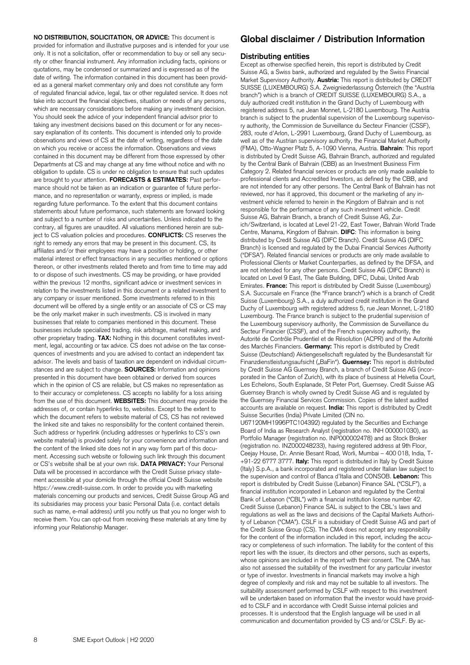**NO DISTRIBUTION, SOLICITATION, OR ADVICE:** This document is provided for information and illustrative purposes and is intended for your use only. It is not a solicitation, offer or recommendation to buy or sell any security or other financial instrument. Any information including facts, opinions or quotations, may be condensed or summarized and is expressed as of the date of writing. The information contained in this document has been provided as a general market commentary only and does not constitute any form of regulated financial advice, legal, tax or other regulated service. It does not take into account the financial objectives, situation or needs of any persons, which are necessary considerations before making any investment decision. You should seek the advice of your independent financial advisor prior to taking any investment decisions based on this document or for any necessary explanation of its contents. This document is intended only to provide observations and views of CS at the date of writing, regardless of the date on which you receive or access the information. Observations and views contained in this document may be different from those expressed by other Departments at CS and may change at any time without notice and with no obligation to update. CS is under no obligation to ensure that such updates are brought to your attention. **FORECASTS & ESTIMATES:** Past performance should not be taken as an indication or guarantee of future performance, and no representation or warranty, express or implied, is made regarding future performance. To the extent that this document contains statements about future performance, such statements are forward looking and subject to a number of risks and uncertainties. Unless indicated to the contrary, all figures are unaudited. All valuations mentioned herein are subject to CS valuation policies and procedures. **CONFLICTS:** CS reserves the right to remedy any errors that may be present in this document. CS, its affiliates and/or their employees may have a position or holding, or other material interest or effect transactions in any securities mentioned or options thereon, or other investments related thereto and from time to time may add to or dispose of such investments. CS may be providing, or have provided within the previous 12 months, significant advice or investment services in relation to the investments listed in this document or a related investment to any company or issuer mentioned. Some investments referred to in this document will be offered by a single entity or an associate of CS or CS may be the only market maker in such investments. CS is involved in many businesses that relate to companies mentioned in this document. These businesses include specialized trading, risk arbitrage, market making, and other proprietary trading. **TAX:** Nothing in this document constitutes investment, legal, accounting or tax advice. CS does not advise on the tax consequences of investments and you are advised to contact an independent tax advisor. The levels and basis of taxation are dependent on individual circumstances and are subject to change. **SOURCES:** Information and opinions presented in this document have been obtained or derived from sources which in the opinion of CS are reliable, but CS makes no representation as to their accuracy or completeness. CS accepts no liability for a loss arising from the use of this document. **WEBSITES:** This document may provide the addresses of, or contain hyperlinks to, websites. Except to the extent to which the document refers to website material of CS, CS has not reviewed the linked site and takes no responsibility for the content contained therein. Such address or hyperlink (including addresses or hyperlinks to CS's own website material) is provided solely for your convenience and information and the content of the linked site does not in any way form part of this document. Accessing such website or following such link through this document or CS's website shall be at your own risk. **DATA PRIVACY:** Your Personal Data will be processed in accordance with the Credit Suisse privacy statement accessible at your domicile through the official Credit Suisse website https://www.credit-suisse.com. In order to provide you with marketing materials concerning our products and services, Credit Suisse Group AG and its subsidiaries may process your basic Personal Data (i.e. contact details such as name, e-mail address) until you notify us that you no longer wish to receive them. You can opt-out from receiving these materials at any time by informing your Relationship Manager.

## **Global disclaimer / Distribution Information**

#### **Distributing entities**

Except as otherwise specified herein, this report is distributed by Credit Suisse AG, a Swiss bank, authorized and regulated by the Swiss Financial Market Supervisory Authority. **Austria:** This report is distributed by CREDIT SUISSE (LUXEMBOURG) S.A. Zweigniederlassung Österreich (the "Austria branch") which is a branch of CREDIT SUISSE (LUXEMBOURG) S.A., a duly authorized credit institution in the Grand Duchy of Luxembourg with registered address 5, rue Jean Monnet, L-2180 Luxembourg. The Austria branch is subject to the prudential supervision of the Luxembourg supervisory authority, the Commission de Surveillance du Secteur Financier (CSSF), 283, route d'Arlon, L-2991 Luxembourg, Grand Duchy of Luxembourg, as well as of the Austrian supervisory authority, the Financial Market Authority (FMA), Otto-Wagner Platz 5, A-1090 Vienna, Austria. **Bahrain**: This report is distributed by Credit Suisse AG, Bahrain Branch, authorized and regulated by the Central Bank of Bahrain (CBB) as an Investment Business Firm Category 2. Related financial services or products are only made available to professional clients and Accredited Investors, as defined by the CBB, and are not intended for any other persons. The Central Bank of Bahrain has not reviewed, nor has it approved, this document or the marketing of any investment vehicle referred to herein in the Kingdom of Bahrain and is not responsible for the performance of any such investment vehicle. Credit Suisse AG, Bahrain Branch, a branch of Credit Suisse AG, Zurich/Switzerland, is located at Level 21-22, East Tower, Bahrain World Trade Centre, Manama, Kingdom of Bahrain. **DIFC**: This information is being distributed by Credit Suisse AG (DIFC Branch). Credit Suisse AG (DIFC Branch) is licensed and regulated by the Dubai Financial Services Authority ("DFSA"). Related financial services or products are only made available to Professional Clients or Market Counterparties, as defined by the DFSA, and are not intended for any other persons. Credit Suisse AG (DIFC Branch) is located on Level 9 East, The Gate Building, DIFC, Dubai, United Arab Emirates. **France:** This report is distributed by Credit Suisse (Luxembourg) S.A. Succursale en France (the "France branch") which is a branch of Credit Suisse (Luxembourg) S.A., a duly authorized credit institution in the Grand Duchy of Luxembourg with registered address 5, rue Jean Monnet, L-2180 Luxembourg. The France branch is subject to the prudential supervision of the Luxembourg supervisory authority, the Commission de Surveillance du Secteur Financier (CSSF), and of the French supervisory authority, the Autorité de Contrôle Prudentiel et de Résolution (ACPR) and of the Autorité des Marchés Financiers. **Germany:** This report is distributed by Credit Suisse (Deutschland) Aktiengesellschaft regulated by the Bundesanstalt für Finanzdienstleistungsaufsicht ("BaFin"). **Guernsey:** This report is distributed by Credit Suisse AG Guernsey Branch, a branch of Credit Suisse AG (incorporated in the Canton of Zurich), with its place of business at Helvetia Court, Les Echelons, South Esplanade, St Peter Port, Guernsey. Credit Suisse AG Guernsey Branch is wholly owned by Credit Suisse AG and is regulated by the Guernsey Financial Services Commission. Copies of the latest audited accounts are available on request. **India:** This report is distributed by Credit Suisse Securities (India) Private Limited (CIN no. U67120MH1996PTC104392) regulated by the Securities and Exchange Board of India as Research Analyst (registration no. INH 000001030), as Portfolio Manager (registration no. INP000002478) and as Stock Broker (registration no. INZ000248233), having registered address at 9th Floor, Ceejay House, Dr. Annie Besant Road, Worli, Mumbai – 400 018, India, T- +91-22 6777 3777. **Italy:** This report is distributed in Italy by Credit Suisse (Italy) S.p.A., a bank incorporated and registered under Italian law subject to the supervision and control of Banca d'Italia and CONSOB. **Lebanon:** This report is distributed by Credit Suisse (Lebanon) Finance SAL ("CSLF"), a financial institution incorporated in Lebanon and regulated by the Central Bank of Lebanon ("CBL") with a financial institution license number 42. Credit Suisse (Lebanon) Finance SAL is subject to the CBL's laws and regulations as well as the laws and decisions of the Capital Markets Authority of Lebanon ("CMA"). CSLF is a subsidiary of Credit Suisse AG and part of the Credit Suisse Group (CS). The CMA does not accept any responsibility for the content of the information included in this report, including the accuracy or completeness of such information. The liability for the content of this report lies with the issuer, its directors and other persons, such as experts, whose opinions are included in the report with their consent. The CMA has also not assessed the suitability of the investment for any particular investor or type of investor. Investments in financial markets may involve a high degree of complexity and risk and may not be suitable to all investors. The

suitability assessment performed by CSLF with respect to this investment will be undertaken based on information that the investor would have provided to CSLF and in accordance with Credit Suisse internal policies and processes. It is understood that the English language will be used in all communication and documentation provided by CS and/or CSLF. By ac-